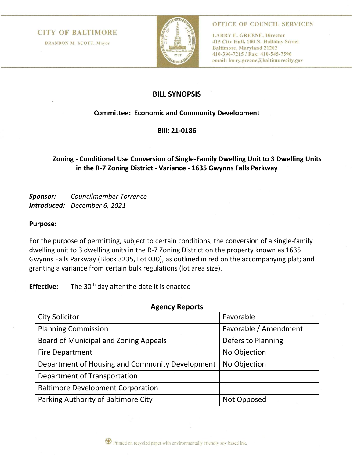#### **CITY OF BALTIMORE**

**BRANDON M. SCOTT, Mayor** 



OFFICE OF COUNCIL SERVICES

**LARRY E. GREENE, Director** 415 City Hall, 100 N. Holliday Street **Baltimore, Maryland 21202** 410-396-7215 / Fax: 410-545-7596 email: larry.greene@baltimorecity.gov

## **BILL SYNOPSIS**

### **Committee: Economic and Community Development**

**Bill: 21-0186**

## **Zoning - Conditional Use Conversion of Single-Family Dwelling Unit to 3 Dwelling Units in the R-7 Zoning District - Variance - 1635 Gwynns Falls Parkway**

*Sponsor: Councilmember Torrence Introduced: December 6, 2021*

#### **Purpose:**

For the purpose of permitting, subject to certain conditions, the conversion of a single-family dwelling unit to 3 dwelling units in the R-7 Zoning District on the property known as 1635 Gwynns Falls Parkway (Block 3235, Lot 030), as outlined in red on the accompanying plat; and granting a variance from certain bulk regulations (lot area size).

**Effective:** The 30<sup>th</sup> day after the date it is enacted

| <b>Agency Reports</b>                           |                       |
|-------------------------------------------------|-----------------------|
| <b>City Solicitor</b>                           | Favorable             |
| <b>Planning Commission</b>                      | Favorable / Amendment |
| Board of Municipal and Zoning Appeals           | Defers to Planning    |
| <b>Fire Department</b>                          | No Objection          |
| Department of Housing and Community Development | No Objection          |
| Department of Transportation                    |                       |
| <b>Baltimore Development Corporation</b>        |                       |
| Parking Authority of Baltimore City             | Not Opposed           |

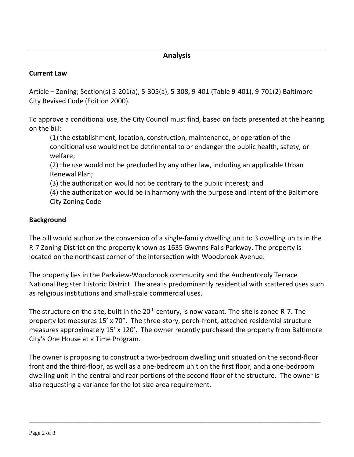# **Analysis**

## **Current Law**

Article – Zoning; Section(s) 5-201(a), 5-305(a), 5-308, 9-401 (Table 9-401), 9-701(2) Baltimore City Revised Code (Edition 2000).

To approve a conditional use, the City Council must find, based on facts presented at the hearing on the bill:

(1) the establishment, location, construction, maintenance, or operation of the conditional use would not be detrimental to or endanger the public health, safety, or welfare;

(2) the use would not be precluded by any other law, including an applicable Urban Renewal Plan;

(3) the authorization would not be contrary to the public interest; and

(4) the authorization would be in harmony with the purpose and intent of the Baltimore City Zoning Code

## **Background**

The bill would authorize the conversion of a single-family dwelling unit to 3 dwelling units in the R-7 Zoning District on the property known as 1635 Gwynns Falls Parkway. The property is located on the northeast corner of the intersection with Woodbrook Avenue.

The property lies in the Parkview-Woodbrook community and the Auchentoroly Terrace National Register Historic District. The area is predominantly residential with scattered uses such as religious institutions and small-scale commercial uses.

The structure on the site, built in the  $20<sup>th</sup>$  century, is now vacant. The site is zoned R-7. The property lot measures 15' x 70". The three-story, porch-front, attached residential structure measures approximately 15' x 120'. The owner recently purchased the property from Baltimore City's One House at a Time Program.

The owner is proposing to construct a two-bedroom dwelling unit situated on the second-floor front and the third-floor, as well as a one-bedroom unit on the first floor, and a one-bedroom dwelling unit in the central and rear portions of the second floor of the structure. The owner is also requesting a variance for the lot size area requirement.

\_\_\_\_\_\_\_\_\_\_\_\_\_\_\_\_\_\_\_\_\_\_\_\_\_\_\_\_\_\_\_\_\_\_\_\_\_\_\_\_\_\_\_\_\_\_\_\_\_\_\_\_\_\_\_\_\_\_\_\_\_\_\_\_\_\_\_\_\_\_\_\_\_\_\_\_\_\_\_\_\_\_\_\_\_\_\_\_\_\_\_\_\_\_\_\_\_\_\_\_\_